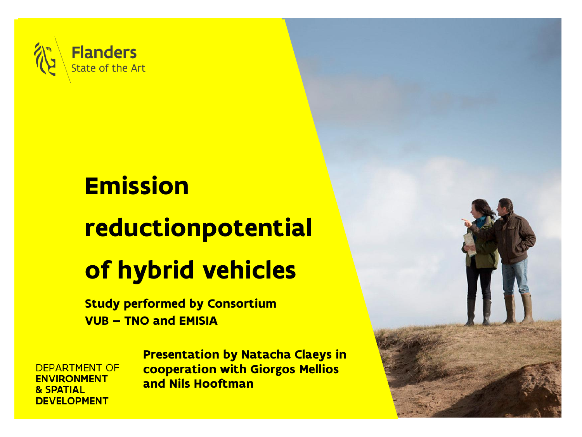

## **Emission** reductionpotential of hybrid vehicles

Study performed by Consortium VUB – TNO and EMISIA

**DEPARTMENT OF ENVIRONMENT** & SPATIAL **DEVELOPMENT** 

Presentation by Natacha Claeys in cooperation with Giorgos Mellios and Nils Hooftman

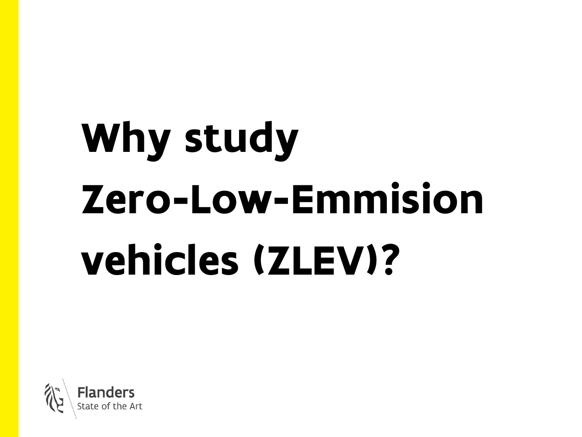# Why study Zero-Low-Emmision vehicles (ZLEV)?

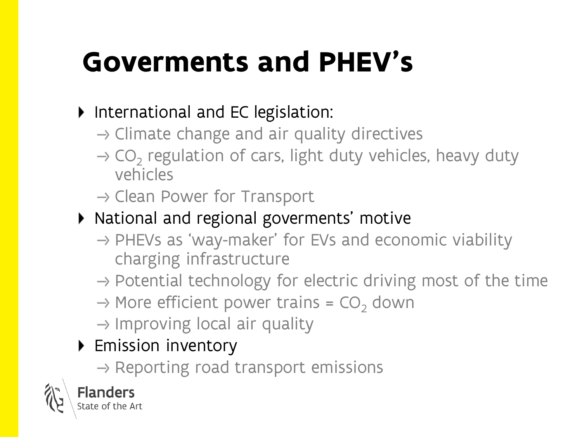## Goverments and PHEV's

#### International and EC legislation:

- $\rightarrow$  Climate change and air quality directives
- CO<sub>2</sub> regulation of cars, light duty vehicles, heavy duty vehicles
- $\rightarrow$  Clean Power for Transport
- National and regional goverments' motive
	- $\rightarrow$  PHEVs as 'way-maker' for EVs and economic viability charging infrastructure
	- $\rightarrow$  Potential technology for electric driving most of the time
	- $\rightarrow$  More efficient power trains = CO<sub>2</sub> down
	- $\rightarrow$  Improving local air quality

#### ▶ Emission inventory

 $\rightarrow$  Reporting road transport emissions

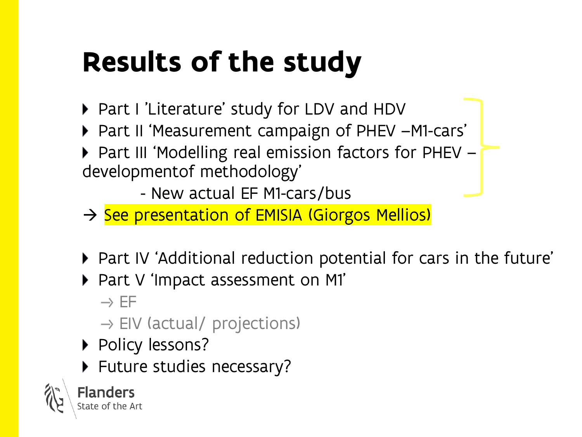## Results of the study

- ▶ Part I 'Literature' study for LDV and HDV
- ▶ Part II 'Measurement campaign of PHEV –M1-cars'
- ▶ Part III 'Modelling real emission factors for PHEV developmentof methodology'

- New actual EF M1-cars/bus

- → See presentation of EMISIA (Giorgos Mellios)
- ▶ Part IV 'Additional reduction potential for cars in the future'
- Part V 'Impact assessment on M1'

 $\rightarrow$  EF

- $\rightarrow$  EIV (actual/ projections)
- ▶ Policy lessons?
- ▶ Future studies necessary?



Flanders tate of the Art.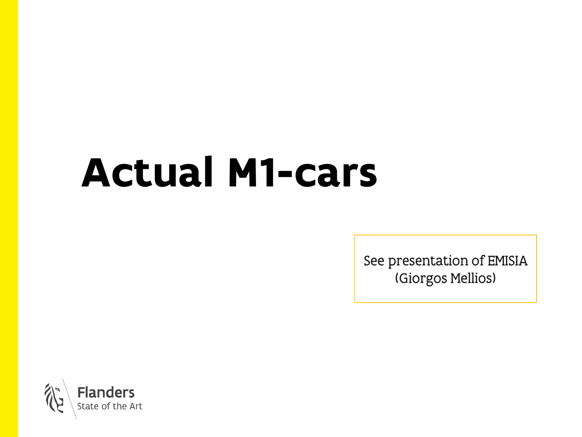## Actual M1-cars

See presentation of EMISIA (Giorgos Mellios)

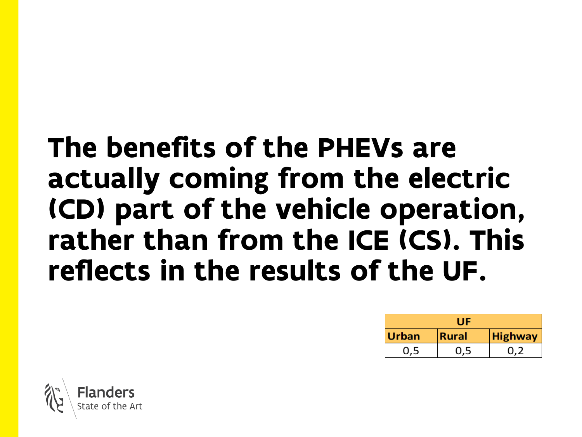### The benefits of the PHEVs are actually coming from the electric (CD) part of the vehicle operation, rather than from the ICE (CS). This reflects in the results of the UF.

|              | UE           |                |  |  |
|--------------|--------------|----------------|--|--|
| <b>Urban</b> | <b>Rural</b> | <b>Highway</b> |  |  |
| 0.5          |              |                |  |  |

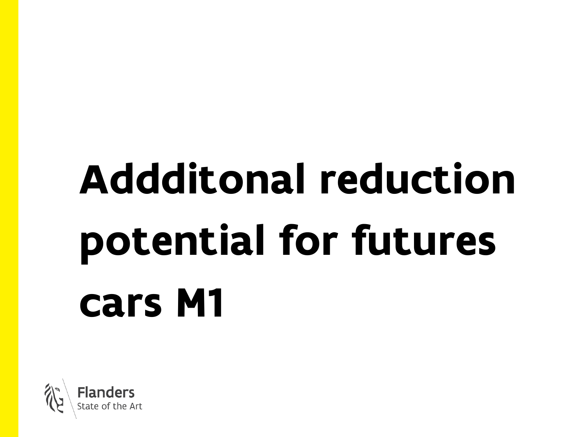# Addditonal reduction potential for futures cars M1

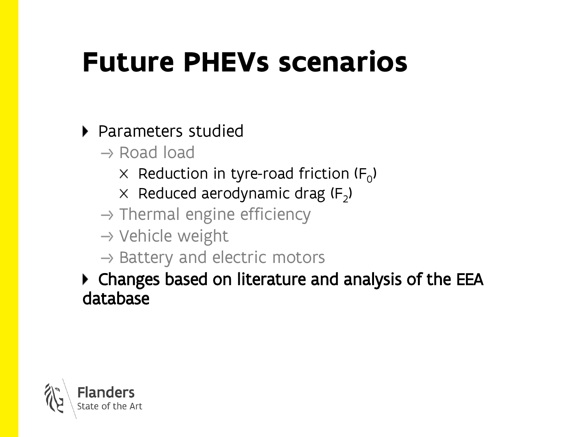## Future PHEVs scenarios

#### ▶ Parameters studied

- $\rightarrow$  Road load
	- Reduction in tyre-road friction (F $_{\rm O}$ )
	- Reduced aerodynamic drag (F<sub>2</sub>)
- $\rightarrow$  Thermal engine efficiency
- $\rightarrow$  Vehicle weight
- $\rightarrow$  Battery and electric motors

#### Changes based on literature and analysis of the EEA database

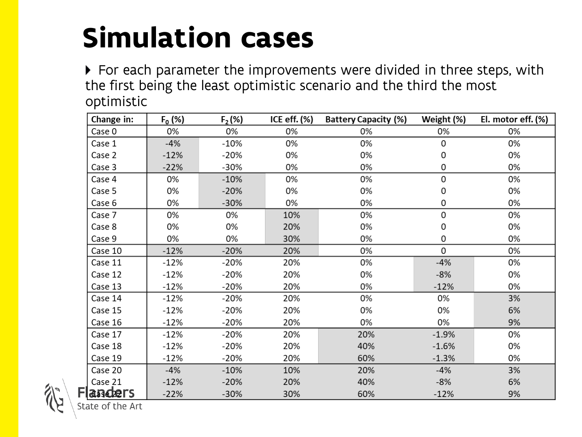## Simulation cases

▶ For each parameter the improvements were divided in three steps, with the first being the least optimistic scenario and the third the most optimistic

| Change in: | $F_0$ (%)            | $F_2$ (%) | ICE eff. $(\%)$ | <b>Battery Capacity (%)</b> | Weight (%) | El. motor eff. (%) |  |
|------------|----------------------|-----------|-----------------|-----------------------------|------------|--------------------|--|
| Case 0     | 0%<br>0%             |           | 0%              | 0%                          | 0%         | 0%                 |  |
| Case 1     | $-4%$                | $-10%$    | 0%              | 0%                          | 0          | 0%                 |  |
| Case 2     | $-12%$               |           | 0%              | 0%                          | 0          | 0%                 |  |
| Case 3     | $-22%$<br>-30%<br>0% |           | 0%<br>0         |                             | 0%         |                    |  |
| Case 4     | 0%                   | $-10%$    | 0%              | 0%                          | 0          | 0%                 |  |
| Case 5     | 0%                   | $-20%$    | 0%              | 0%                          | 0          | 0%                 |  |
| Case 6     | 0%                   | $-30%$    | 0%              | 0%                          | 0          | 0%                 |  |
| Case 7     | 0%                   | 0%        | 10%             | 0%                          | 0          | 0%                 |  |
| Case 8     | 0%                   | 0%        | 20%             | 0%                          | 0          | 0%                 |  |
| Case 9     | 0%                   | 0%        | 30%             | 0%                          | 0          | 0%                 |  |
| Case 10    | $-12%$               | $-20%$    | 20%             | 0%                          | 0          | 0%                 |  |
| Case 11    | $-12%$               | $-20%$    | 20%             | 0%                          | $-4%$      | 0%                 |  |
| Case 12    | $-12%$               | $-20%$    | 20%             | 0%                          | $-8%$      | 0%                 |  |
| Case 13    | $-12%$               | $-20%$    | 20%             | 0%                          | $-12%$     | 0%                 |  |
| Case 14    | $-12%$               | -20%      | 20%             | 0%                          | 0%         | 3%                 |  |
| Case 15    | $-12%$               | $-20%$    | 20%             | 0%                          | 0%         | 6%                 |  |
| Case 16    | $-12%$               | $-20%$    | 20%             | 0%                          | 0%         | 9%                 |  |
| Case 17    | $-12%$               | $-20%$    | 20%             | 20%                         | $-1.9%$    | 0%                 |  |
| Case 18    | $-12%$               | -20%      | 20%             | 40%                         | $-1.6%$    | 0%                 |  |
| Case 19    | $-12%$               | $-20%$    | 20%             | 60%                         | $-1.3%$    | 0%                 |  |
| Case 20    | $-4%$                | $-10%$    | 10%             | 20%                         | $-4%$      | 3%                 |  |
| Case 21    | $-12%$               | $-20%$    | 20%             | 40%                         | $-8%$      | 6%                 |  |
| anders     | $-22%$<br>$-30%$     |           | 30%             | 60%                         | 9%         |                    |  |

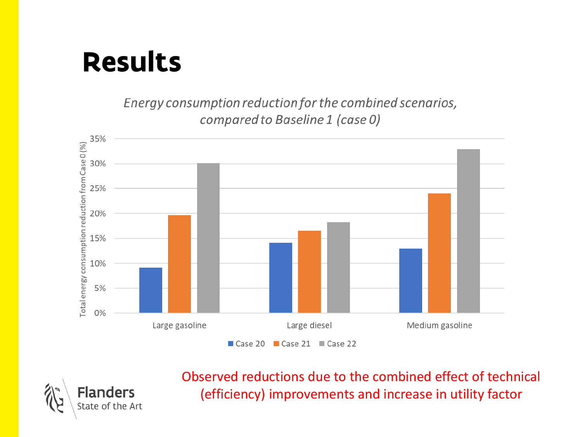### Results

Energy consumption reduction for the combined scenarios, compared to Baseline 1 (case 0)



**Flanders** State of the Art Observed reductions due to the combined effect of technical (efficiency) improvements and increase in utility factor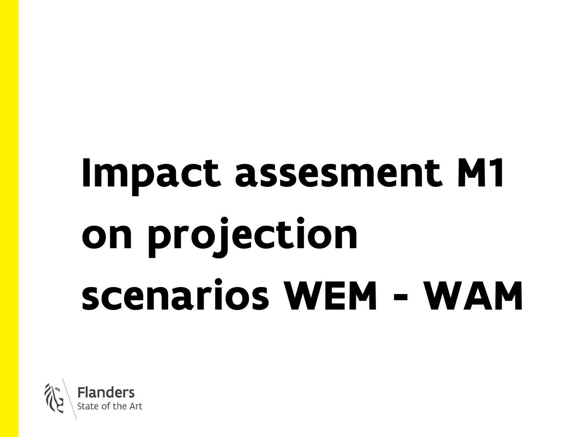# Impact assesment M1 on projection scenarios WEM - WAM

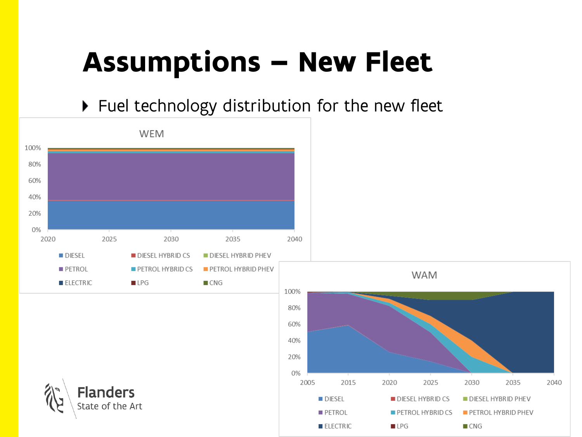## Assumptions – New Fleet

▶ Fuel technology distribution for the new fleet

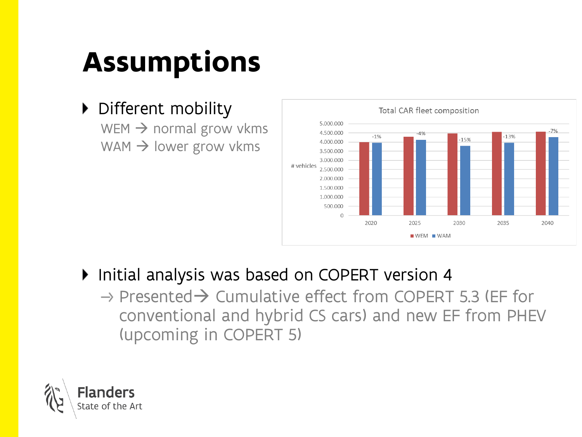## Assumptions

#### ▶ Different mobility

WEM  $\rightarrow$  normal grow vkms WAM  $\rightarrow$  lower grow vkms



- Initial analysis was based on COPERT version 4
	- $\rightarrow$  Presented $\rightarrow$  Cumulative effect from COPERT 5.3 (EF for conventional and hybrid CS cars) and new EF from PHEV (upcoming in COPERT 5)

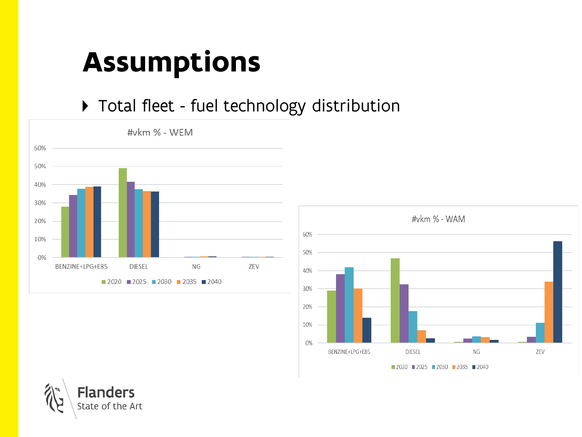## Assumptions

#### ▶ Total fleet - fuel technology distribution





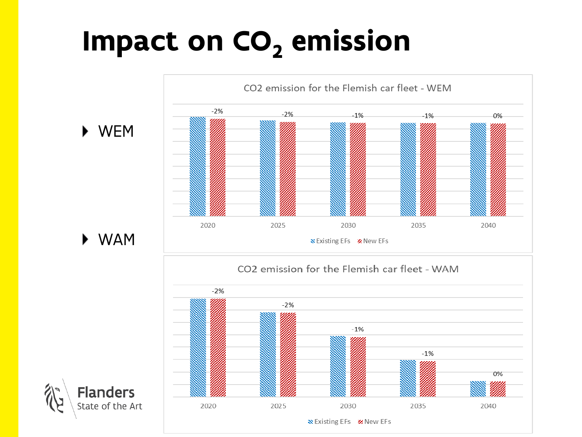## Impact on  $CO<sub>2</sub>$  emission

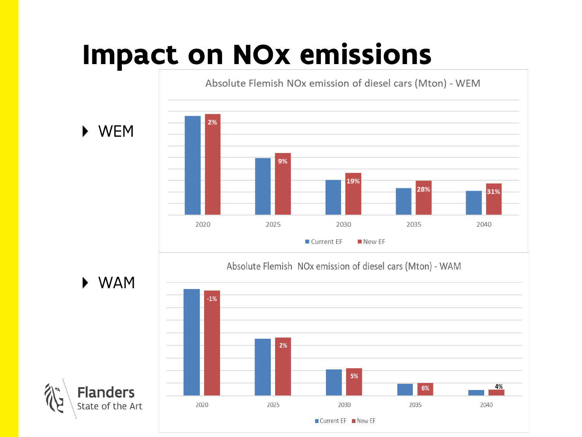## Impact on NOx emissions

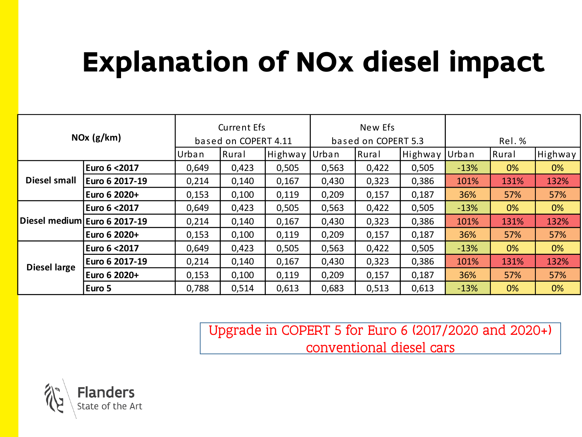## Explanation of NOx diesel impact

| NOx (g/km)          |                              | <b>Current Efs</b>   |       | New Efs             |       |       |         |        |       |         |
|---------------------|------------------------------|----------------------|-------|---------------------|-------|-------|---------|--------|-------|---------|
|                     |                              | based on COPERT 4.11 |       | based on COPERT 5.3 |       | Rel.% |         |        |       |         |
|                     |                              | Urban                | Rural | Highway             | Urban | Rural | Highway | Urban  | Rural | Highway |
|                     | Euro 6 < 2017                | 0,649                | 0,423 | 0,505               | 0,563 | 0,422 | 0,505   | $-13%$ | 0%    | 0%      |
| <b>Diesel small</b> | Euro 6 2017-19               | 0,214                | 0,140 | 0,167               | 0,430 | 0,323 | 0,386   | 101%   | 131%  | 132%    |
|                     | Euro 6 2020+                 | 0,153                | 0,100 | 0,119               | 0,209 | 0,157 | 0,187   | 36%    | 57%   | 57%     |
|                     | Euro 6 < 2017                | 0,649                | 0,423 | 0,505               | 0,563 | 0,422 | 0,505   | $-13%$ | 0%    | 0%      |
|                     | Diesel medium Euro 6 2017-19 | 0,214                | 0,140 | 0,167               | 0,430 | 0,323 | 0,386   | 101%   | 131%  | 132%    |
|                     | Euro 6 2020+                 | 0,153                | 0,100 | 0,119               | 0,209 | 0,157 | 0,187   | 36%    | 57%   | 57%     |
|                     | Euro 6 < 2017                | 0,649                | 0,423 | 0,505               | 0,563 | 0,422 | 0,505   | $-13%$ | 0%    | 0%      |
| <b>Diesel large</b> | Euro 6 2017-19               | 0,214                | 0,140 | 0,167               | 0,430 | 0,323 | 0,386   | 101%   | 131%  | 132%    |
|                     | Euro 6 2020+                 | 0,153                | 0,100 | 0,119               | 0,209 | 0,157 | 0,187   | 36%    | 57%   | 57%     |
|                     | Euro 5                       | 0,788                | 0,514 | 0,613               | 0,683 | 0,513 | 0,613   | $-13%$ | 0%    | 0%      |

Upgrade in COPERT 5 for Euro 6 (2017/2020 and 2020+) conventional diesel cars

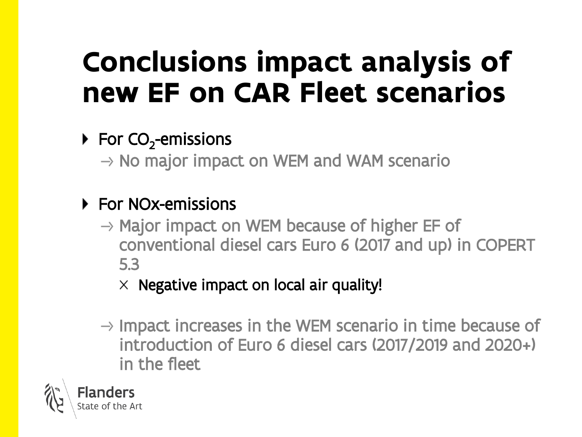## Conclusions impact analysis of new EF on CAR Fleet scenarios

#### For CO<sub>2</sub>-emissions

 $\rightarrow$  No major impact on WEM and WAM scenario

#### ▶ For NOx-emissions

 $\rightarrow$  Major impact on WEM because of higher EF of conventional diesel cars Euro 6 (2017 and up) in COPERT 5.3

 $\times$  Negative impact on local air quality!

 $\rightarrow$  Impact increases in the WEM scenario in time because of introduction of Euro 6 diesel cars (2017/2019 and 2020+) in the fleet

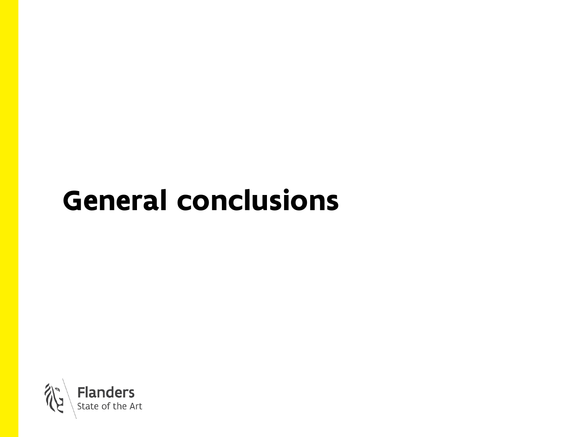## General conclusions

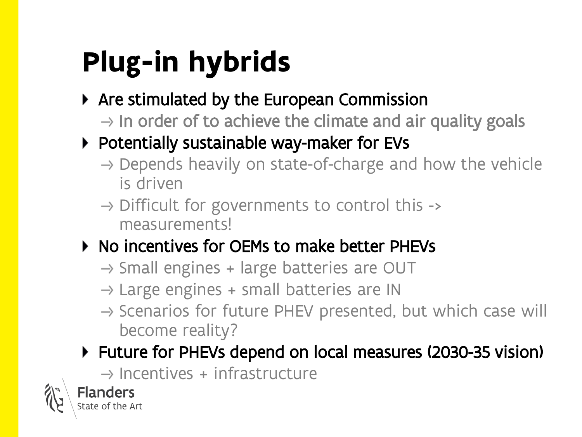## Plug-in hybrids

- ▶ Are stimulated by the European Commission
	- $\rightarrow$  In order of to achieve the climate and air quality goals
- ▶ Potentially sustainable way-maker for EVs
	- $\rightarrow$  Depends heavily on state-of-charge and how the vehicle is driven
	- $\rightarrow$  Difficult for governments to control this -> measurements!
- ▶ No incentives for OEMs to make better PHEVs
	- $\rightarrow$  Small engines + large batteries are OUT
	- $\rightarrow$  Large engines + small batteries are IN
	- $\rightarrow$  Scenarios for future PHEV presented, but which case will become reality?
- Future for PHEVs depend on local measures (2030-35 vision)

 $\rightarrow$  Incentives + infrastructure

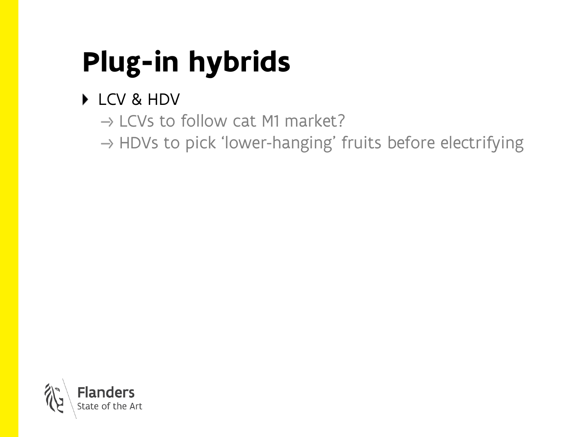## Plug-in hybrids

#### ▶ LCV & HDV

 $\rightarrow$  LCVs to follow cat M1 market?

 $\rightarrow$  HDVs to pick 'lower-hanging' fruits before electrifying